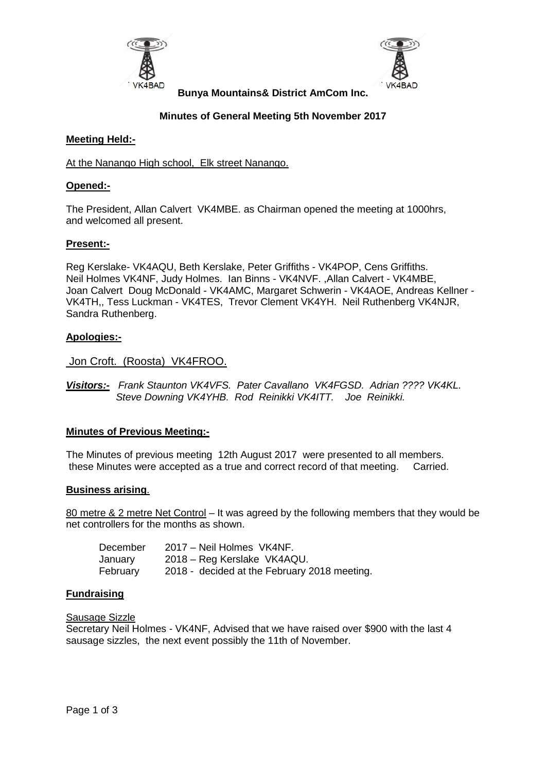



**Bunya Mountains& District AmCom Inc.**

# **Minutes of General Meeting 5th November 2017**

# **Meeting Held:-**

# At the Nanango High school, Elk street Nanango.

# **Opened:-**

The President, Allan Calvert VK4MBE. as Chairman opened the meeting at 1000hrs, and welcomed all present.

# **Present:-**

Reg Kerslake- VK4AQU, Beth Kerslake, Peter Griffiths - VK4POP, Cens Griffiths. Neil Holmes VK4NF, Judy Holmes. Ian Binns - VK4NVF. ,Allan Calvert - VK4MBE, Joan Calvert Doug McDonald - VK4AMC, Margaret Schwerin - VK4AOE, Andreas Kellner - VK4TH,, Tess Luckman - VK4TES, Trevor Clement VK4YH. Neil Ruthenberg VK4NJR, Sandra Ruthenberg.

# **Apologies:-**

Jon Croft. (Roosta) VK4FROO.

*Visitors:- Frank Staunton VK4VFS. Pater Cavallano VK4FGSD. Adrian ???? VK4KL. Steve Downing VK4YHB. Rod Reinikki VK4ITT. Joe Reinikki.*

### **Minutes of Previous Meeting:-**

The Minutes of previous meeting 12th August 2017 were presented to all members. these Minutes were accepted as a true and correct record of that meeting. Carried.

### **Business arising**.

80 metre & 2 metre Net Control – It was agreed by the following members that they would be net controllers for the months as shown.

| December | 2017 – Neil Holmes VK4NF.                    |
|----------|----------------------------------------------|
| January  | 2018 – Reg Kerslake VK4AQU.                  |
| February | 2018 - decided at the February 2018 meeting. |

### **Fundraising**

Sausage Sizzle

Secretary Neil Holmes - VK4NF, Advised that we have raised over \$900 with the last 4 sausage sizzles, the next event possibly the 11th of November.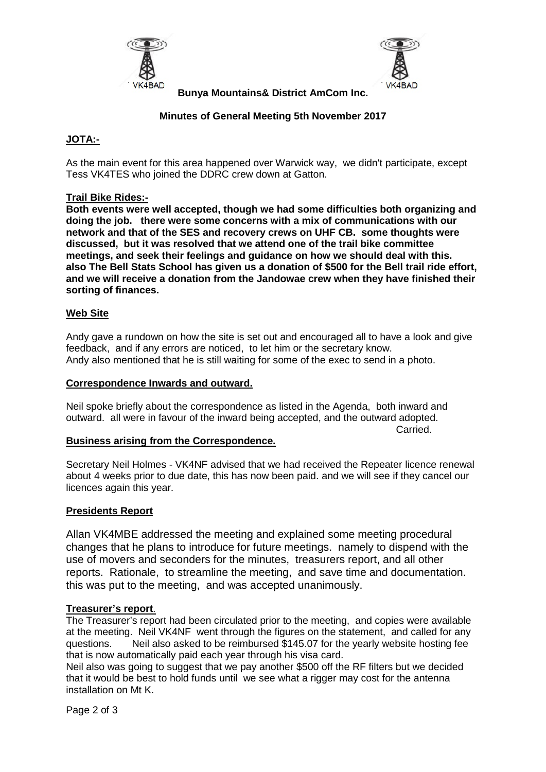



**Bunya Mountains& District AmCom Inc.**

# **Minutes of General Meeting 5th November 2017**

# **JOTA:-**

As the main event for this area happened over Warwick way, we didn't participate, except Tess VK4TES who joined the DDRC crew down at Gatton.

# **Trail Bike Rides:-**

**Both events were well accepted, though we had some difficulties both organizing and doing the job. there were some concerns with a mix of communications with our network and that of the SES and recovery crews on UHF CB. some thoughts were discussed, but it was resolved that we attend one of the trail bike committee meetings, and seek their feelings and guidance on how we should deal with this. also The Bell Stats School has given us a donation of \$500 for the Bell trail ride effort, and we will receive a donation from the Jandowae crew when they have finished their sorting of finances.**

# **Web Site**

Andy gave a rundown on how the site is set out and encouraged all to have a look and give feedback, and if any errors are noticed, to let him or the secretary know. Andy also mentioned that he is still waiting for some of the exec to send in a photo.

### **Correspondence Inwards and outward.**

Neil spoke briefly about the correspondence as listed in the Agenda, both inward and outward. all were in favour of the inward being accepted, and the outward adopted.

Carried.

### **Business arising from the Correspondence.**

Secretary Neil Holmes - VK4NF advised that we had received the Repeater licence renewal about 4 weeks prior to due date, this has now been paid. and we will see if they cancel our licences again this year.

### **Presidents Report**

Allan VK4MBE addressed the meeting and explained some meeting procedural changes that he plans to introduce for future meetings. namely to dispend with the use of movers and seconders for the minutes, treasurers report, and all other reports. Rationale, to streamline the meeting, and save time and documentation. this was put to the meeting, and was accepted unanimously.

### **Treasurer's report**.

The Treasurer's report had been circulated prior to the meeting, and copies were available at the meeting. Neil VK4NF went through the figures on the statement, and called for any questions. Neil also asked to be reimbursed \$145.07 for the yearly website hosting fee that is now automatically paid each year through his visa card.

Neil also was going to suggest that we pay another \$500 off the RF filters but we decided that it would be best to hold funds until we see what a rigger may cost for the antenna installation on Mt K.

Page 2 of 3